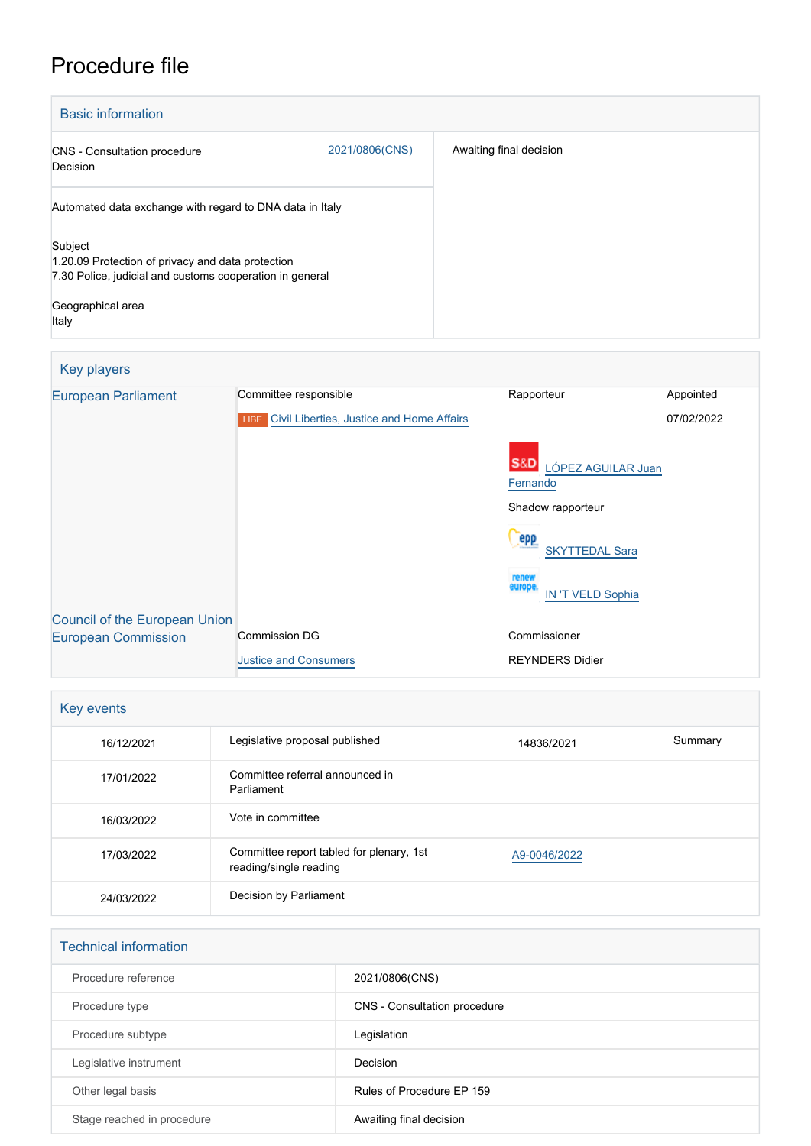## Procedure file

| <b>Basic information</b>                                                                                                                               |                |                         |  |  |
|--------------------------------------------------------------------------------------------------------------------------------------------------------|----------------|-------------------------|--|--|
| <b>CNS</b> - Consultation procedure<br>Decision                                                                                                        | 2021/0806(CNS) | Awaiting final decision |  |  |
| Automated data exchange with regard to DNA data in Italy                                                                                               |                |                         |  |  |
| Subject<br>1.20.09 Protection of privacy and data protection<br>7.30 Police, judicial and customs cooperation in general<br>Geographical area<br>Italy |                |                         |  |  |

## Key players [European Parliament](http://www.europarl.europa.eu/) Committee responsible Rapporteur Rapporteur Appointed **LIBE** [Civil Liberties, Justice and Home Affairs](http://www.europarl.europa.eu/committees/en/libe/home.html) S&D [LÓPEZ AGUILAR Juan](http://www.europarl.europa.eu/meps/en/96812) **[Fernando](http://www.europarl.europa.eu/meps/en/96812)** Shadow rapporteur **Cepp** [SKYTTEDAL Sara](http://www.europarl.europa.eu/meps/en/197390) [IN 'T VELD Sophia](http://www.europarl.europa.eu/meps/en/28266) 07/02/2022 [Council of the European Union](http://www.consilium.europa.eu) [European Commission](http://ec.europa.eu/) Commission DG [Justice and Consumers](http://ec.europa.eu/info/departments/justice-and-consumers_en) Commissioner REYNDERS Didier

| Key events |                                                                    |              |         |  |  |
|------------|--------------------------------------------------------------------|--------------|---------|--|--|
| 16/12/2021 | Legislative proposal published                                     | 14836/2021   | Summary |  |  |
| 17/01/2022 | Committee referral announced in<br>Parliament                      |              |         |  |  |
| 16/03/2022 | Vote in committee                                                  |              |         |  |  |
| 17/03/2022 | Committee report tabled for plenary, 1st<br>reading/single reading | A9-0046/2022 |         |  |  |
| 24/03/2022 | Decision by Parliament                                             |              |         |  |  |

| <b>Technical information</b> |                              |
|------------------------------|------------------------------|
| Procedure reference          | 2021/0806(CNS)               |
| Procedure type               | CNS - Consultation procedure |
| Procedure subtype            | Legislation                  |
| Legislative instrument       | Decision                     |
| Other legal basis            | Rules of Procedure EP 159    |
| Stage reached in procedure   | Awaiting final decision      |